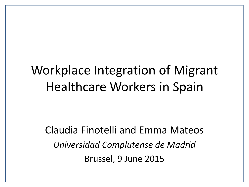#### Workplace Integration of Migrant Healthcare Workers in Spain

Claudia Finotelli and Emma Mateos *Universidad Complutense de Madrid* Brussel, 9 June 2015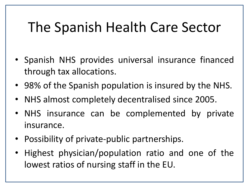#### The Spanish Health Care Sector

- Spanish NHS provides universal insurance financed through tax allocations.
- 98% of the Spanish population is insured by the NHS.
- NHS almost completely decentralised since 2005.
- NHS insurance can be complemented by private insurance.
- Possibility of private-public partnerships.
- Highest physician/population ratio and one of the lowest ratios of nursing staff in the EU.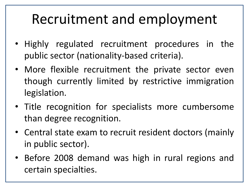#### Recruitment and employment

- Highly regulated recruitment procedures in the public sector (nationality-based criteria).
- More flexible recruitment the private sector even though currently limited by restrictive immigration legislation.
- Title recognition for specialists more cumbersome than degree recognition.
- Central state exam to recruit resident doctors (mainly in public sector).
- Before 2008 demand was high in rural regions and certain specialties.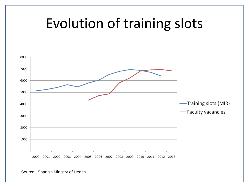

Source: Spanish Ministry of Health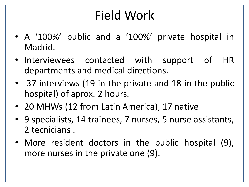#### Field Work

- A '100%' public and a '100%' private hospital in Madrid.
- Interviewees contacted with support of HR departments and medical directions.
- 37 interviews (19 in the private and 18 in the public hospital) of aprox. 2 hours.
- 20 MHWs (12 from Latin America), 17 native
- 9 specialists, 14 trainees, 7 nurses, 5 nurse assistants, 2 tecnicians .
- More resident doctors in the public hospital (9), more nurses in the private one (9).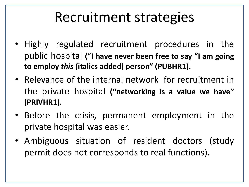#### Recruitment strategies

- Highly regulated recruitment procedures in the public hospital **("I have never been free to say "I am going to employ** *this* **(italics added) person" (PUBHR1).**
- Relevance of the internal network for recruitment in the private hospital **("networking is a value we have" (PRIVHR1).**
- Before the crisis, permanent employment in the private hospital was easier.
- Ambiguous situation of resident doctors (study permit does not corresponds to real functions).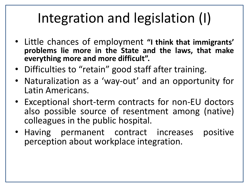# Integration and legislation (I)

- Little chances of employment **"I think that immigrants' problems lie more in the State and the laws, that make everything more and more difficult".**
- Difficulties to "retain" good staff after training.
- Naturalization as a 'way-out' and an opportunity for Latin Americans.
- Exceptional short-term contracts for non-EU doctors also possible source of resentment among (native) colleagues in the public hospital.
- Having permanent contract increases positive perception about workplace integration.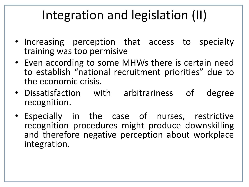#### Integration and legislation (II)

- Increasing perception that access to specialty training was too permisive
- Even according to some MHWs there is certain need to establish "national recruitment priorities" due to the economic crisis.
- Dissatisfaction with arbitrariness of degree recognition.
- Especially in the case of nurses, restrictive recognition procedures might produce downskilling and therefore negative perception about workplace integration.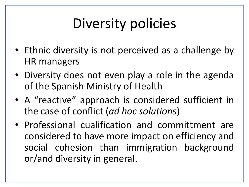# Diversity policies

- Ethnic diversity is not perceived as a challenge by HR managers
- Diversity does not even play a role in the agenda of the Spanish Ministry of Health
- A "reactive" approach is considered sufficient in the case of conflict (*ad hoc solutions*)
- Professional cualification and committment are considered to have more impact on efficiency and social cohesion than immigration background or/and diversity in general.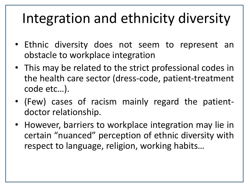## Integration and ethnicity diversity

- Ethnic diversity does not seem to represent an obstacle to workplace integration
- This may be related to the strict professional codes in the health care sector (dress-code, patient-treatment code etc…).
- (Few) cases of racism mainly regard the patientdoctor relationship.
- However, barriers to workplace integration may lie in certain "nuanced" perception of ethnic diversity with respect to language, religion, working habits…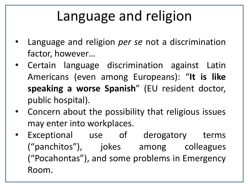# Language and religion

- Language and religion *per se* not a discrimination factor, however…
- Certain language discrimination against Latin Americans (even among Europeans): "**It is like speaking a worse Spanish**" (EU resident doctor, public hospital).
- Concern about the possibility that religious issues may enter into workplaces.
- Exceptional use of derogatory terms ("panchitos"), jokes among colleagues ("Pocahontas"), and some problems in Emergency Room.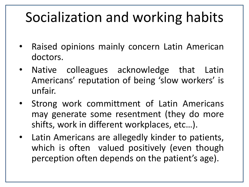# Socialization and working habits

- Raised opinions mainly concern Latin American doctors.
- Native colleagues acknowledge that Latin Americans' reputation of being 'slow workers' is unfair.
- Strong work committment of Latin Americans may generate some resentment (they do more shifts, work in different workplaces, etc…).
- Latin Americans are allegedly kinder to patients, which is often valued positively (even though perception often depends on the patient's age).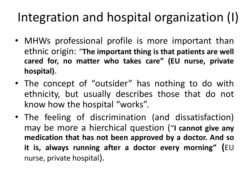#### Integration and hospital organization (I)

- MHWs professional profile is more important than ethnic origin: "**The important thing is that patients are well cared for, no matter who takes care" (EU nurse, private hospital)**.
- The concept of "outsider" has nothing to do with ethnicity, but usually describes those that do not know how the hospital "works".
- The feeling of discrimination (and dissatisfaction) may be more a hierchical question ("**I cannot give any medication that has not been approved by a doctor. And so it is, always running after a doctor every morning" (**EU nurse, private hospital).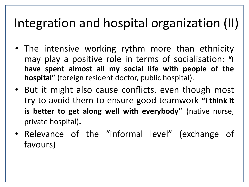#### Integration and hospital organization (II)

- The intensive working rythm more than ethnicity may play a positive role in terms of socialisation: **"I have spent almost all my social life with people of the hospital"** (foreign resident doctor, public hospital).
- But it might also cause conflicts, even though most try to avoid them to ensure good teamwork **"I think it is better to get along well with everybody"** (native nurse, private hospital)**.**
- Relevance of the "informal level" (exchange of favours)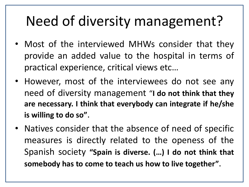# Need of diversity management?

- Most of the interviewed MHWs consider that they provide an added value to the hospital in terms of practical experience, critical views etc…
- However, most of the interviewees do not see any need of diversity management "**I do not think that they are necessary. I think that everybody can integrate if he/she is willing to do so"**.
- Natives consider that the absence of need of specific measures is directly related to the openess of the Spanish society **"Spain is diverse. (…) I do not think that somebody has to come to teach us how to live together"**.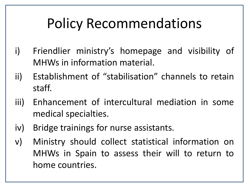# Policy Recommendations

- i) Friendlier ministry's homepage and visibility of MHWs in information material.
- ii) Establishment of "stabilisation" channels to retain staff.
- iii) Enhancement of intercultural mediation in some medical specialties.
- iv) Bridge trainings for nurse assistants.
- v) Ministry should collect statistical information on MHWs in Spain to assess their will to return to home countries.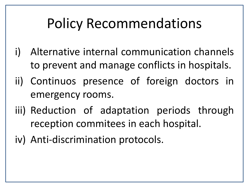# Policy Recommendations

- i) Alternative internal communication channels to prevent and manage conflicts in hospitals.
- ii) Continuos presence of foreign doctors in emergency rooms.
- iii) Reduction of adaptation periods through reception commitees in each hospital.
- iv) Anti-discrimination protocols.